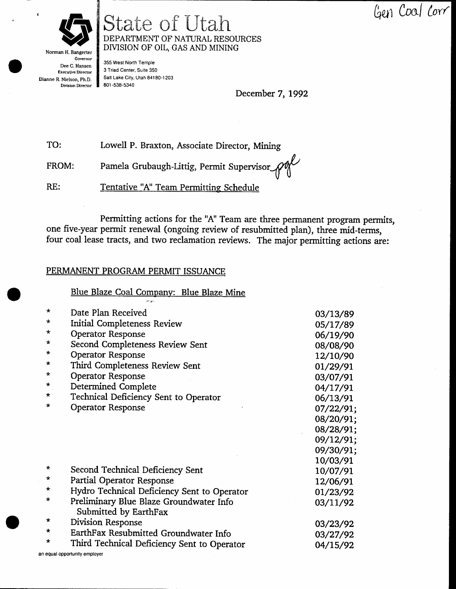Gen Cool Corr



## State of Utah DEPARTMENT OF NATURAL RESOURCES DIVISION OF OIL, GAS AND MINING

Norman H. Bangerter Governor Dee C. Hansen **Executive Director** Dianne R. Nielson, Ph.D. **Division Director** 

355 West North Temple 3 Triad Center, Suite 350 Salt Lake City, Utah 84180-1203 801-538-5340

December 7, 1992

TO: Lowell P. Braxton, Associate Director, Mining

Pamela Grubaugh-Littig, Permit Supervisor FROM:

Tentative "A" Team Permitting Schedule RE:

Permitting actions for the "A" Team are three permanent program permits, one five-year permit renewal (ongoing review of resubmitted plan), three mid-terms, four coal lease tracts, and two reclamation reviews. The major permitting actions are:

#### PERMANENT PROGRAM PERMIT ISSUANCE

Blue Blaze Coal Company: Blue Blaze Mine

| $\star$ | Date Plan Received                          | 03/13/89  |
|---------|---------------------------------------------|-----------|
| $\star$ | Initial Completeness Review                 | 05/17/89  |
| $\star$ | <b>Operator Response</b>                    | 06/19/90  |
| *       | Second Completeness Review Sent             | 08/08/90  |
| $\star$ | <b>Operator Response</b>                    | 12/10/90  |
| *       | Third Completeness Review Sent              | 01/29/91  |
| $\star$ | <b>Operator Response</b>                    | 03/07/91  |
| $\star$ | Determined Complete                         | 04/17/91  |
| $\star$ | Technical Deficiency Sent to Operator       | 06/13/91  |
| $\star$ | <b>Operator Response</b>                    | 07/22/91; |
|         |                                             | 08/20/91; |
|         |                                             |           |
|         |                                             | 08/28/91; |
|         |                                             | 09/12/91; |
|         |                                             | 09/30/91; |
|         |                                             | 10/03/91  |
| $\star$ | Second Technical Deficiency Sent            | 10/07/91  |
| $\star$ | Partial Operator Response                   | 12/06/91  |
| $\star$ | Hydro Technical Deficiency Sent to Operator | 01/23/92  |
| *       | Preliminary Blue Blaze Groundwater Info     | 03/11/92  |
|         | Submitted by EarthFax                       |           |
| $\star$ | Division Response                           | 03/23/92  |
| *       | EarthFax Resubmitted Groundwater Info       |           |
| *       |                                             | 03/27/92  |
|         | Third Technical Deficiency Sent to Operator | 04/15/92  |
|         |                                             |           |

an equal opportunity employer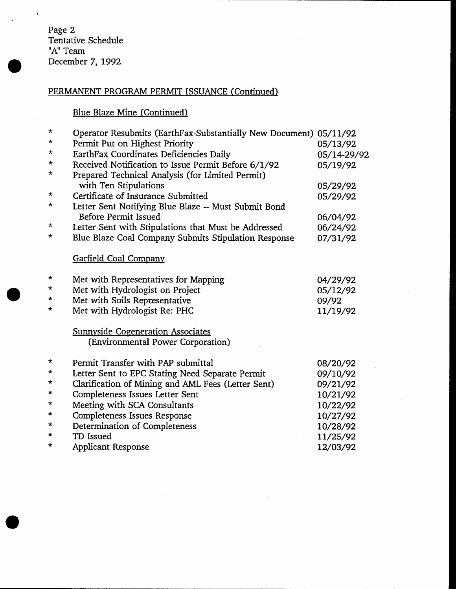Page 2 Tentative Schedule "A" Team December 7, 1992

#### PERMANENT PROGRAM PERMIT ISSUANCE (Continued)

# Blue Blaze Mine (Continued)

| $\star$        | Operator Resubmits (EarthFax-Substantially New Document) 05/11/92 |             |
|----------------|-------------------------------------------------------------------|-------------|
| $\star$        | Permit Put on Highest Priority                                    | 05/13/92    |
| *              | EarthFax Coordinates Deficiencies Daily                           | 05/14-29/92 |
| $\star$        | Received Notification to Issue Permit Before 6/1/92               | 05/19/92    |
| $^{\star}$     | Prepared Technical Analysis (for Limited Permit)                  |             |
|                | with Ten Stipulations                                             | 05/29/92    |
| $^\star$       | Certificate of Insurance Submitted                                | 05/29/92    |
| *              | Letter Sent Notifying Blue Blaze -- Must Submit Bond              |             |
|                | <b>Before Permit Issued</b>                                       | 06/04/92    |
| ∗              | Letter Sent with Stipulations that Must be Addressed              | 06/24/92    |
| $\star$        | Blue Blaze Coal Company Submits Stipulation Response              | 07/31/92    |
|                | <b>Garfield Coal Company</b>                                      |             |
| $\star$        | Met with Representatives for Mapping                              | 04/29/92    |
| $^\star$       | Met with Hydrologist on Project                                   | 05/12/92    |
| $\star$        | Met with Soils Representative                                     | 09/92       |
| *              | Met with Hydrologist Re: PHC                                      | 11/19/92    |
|                | <b>Sunnyside Cogeneration Associates</b>                          |             |
|                | (Environmental Power Corporation)                                 |             |
| $\star$        | Permit Transfer with PAP submittal                                | 08/20/92    |
| *              | Letter Sent to EPC Stating Need Separate Permit                   | 09/10/92    |
| $\star$        | Clarification of Mining and AML Fees (Letter Sent)                | 09/21/92    |
| *              | Completeness Issues Letter Sent                                   | 10/21/92    |
| *              | Meeting with SCA Consultants                                      | 10/22/92    |
| $\star$        | Completeness Issues Response                                      | 10/27/92    |
| $\,{}^{\star}$ | Determination of Completeness                                     | 10/28/92    |
| $\star$        | TD Issued                                                         | 11/25/92    |
| $\star$        | <b>Applicant Response</b>                                         | 12/03/92    |
|                |                                                                   |             |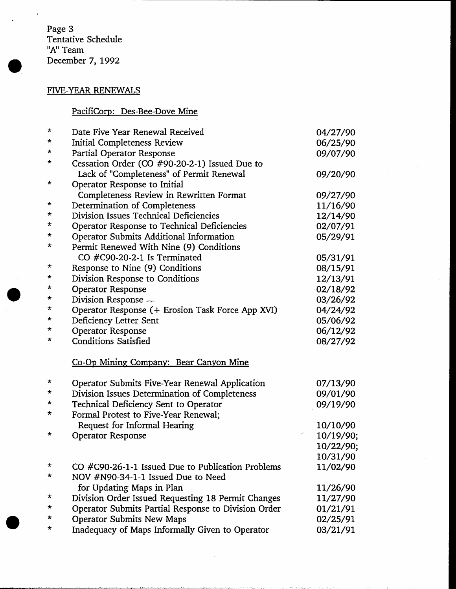Page 3<br>Tentative Schedule<br>"A" Team December 7, 1992

#### FIVE-YEAR RENEWALS

## PacifiCorp: Des-Bee-Dove Mine

| $\star$  | Date Five Year Renewal Received                     | 04/27/90        |  |
|----------|-----------------------------------------------------|-----------------|--|
| $^\star$ | Initial Completeness Review                         | 06/25/90        |  |
| *        | Partial Operator Response                           | 09/07/90        |  |
| *        | Cessation Order (CO #90-20-2-1) Issued Due to       |                 |  |
|          | Lack of "Completeness" of Permit Renewal            | 09/20/90        |  |
| *        | Operator Response to Initial                        |                 |  |
|          | Completeness Review in Rewritten Format             | 09/27/90        |  |
| *        | Determination of Completeness                       | 11/16/90        |  |
| $\ast$   | Division Issues Technical Deficiencies              | 12/14/90        |  |
| *        | Operator Response to Technical Deficiencies         | 02/07/91        |  |
| *        | Operator Submits Additional Information             | 05/29/91        |  |
| *        | Permit Renewed With Nine (9) Conditions             |                 |  |
|          | CO #C90-20-2-1 Is Terminated                        | 05/31/91        |  |
| $\star$  | Response to Nine (9) Conditions                     | 08/15/91        |  |
| $\star$  | Division Response to Conditions                     | 12/13/91        |  |
| $\star$  | <b>Operator Response</b>                            | 02/18/92        |  |
| $\ast$   | Division Response                                   | 03/26/92        |  |
| *        | Operator Response (+ Erosion Task Force App XVI)    | 04/24/92        |  |
| *        | Deficiency Letter Sent                              | 05/06/92        |  |
| $\star$  | <b>Operator Response</b>                            | 06/12/92        |  |
| ∗        | <b>Conditions Satisfied</b>                         | 08/27/92        |  |
|          | Co-Op Mining Company: Bear Canyon Mine              |                 |  |
| *        | Operator Submits Five-Year Renewal Application      | 07/13/90        |  |
| *        | Division Issues Determination of Completeness       | 09/01/90        |  |
| *        | Technical Deficiency Sent to Operator               | 09/19/90        |  |
| *        | Formal Protest to Five-Year Renewal;                |                 |  |
|          | Request for Informal Hearing                        | 10/10/90        |  |
| *        | Operator Response                                   | ¢,<br>10/19/90; |  |
|          |                                                     | 10/22/90;       |  |
|          |                                                     | 10/31/90        |  |
| $\star$  | CO #C90-26-1-1 Issued Due to Publication Problems   | 11/02/90        |  |
| *        | NOV #N90-34-1-1 Issued Due to Need                  |                 |  |
|          | for Updating Maps in Plan                           | 11/26/90        |  |
| *        | Division Order Issued Requesting 18 Permit Changes  | 11/27/90        |  |
| *        | Operator Submits Partial Response to Division Order | 01/21/91        |  |
| *        | <b>Operator Submits New Maps</b>                    | 02/25/91        |  |
| *        | Inadequacy of Maps Informally Given to Operator     | 03/21/91        |  |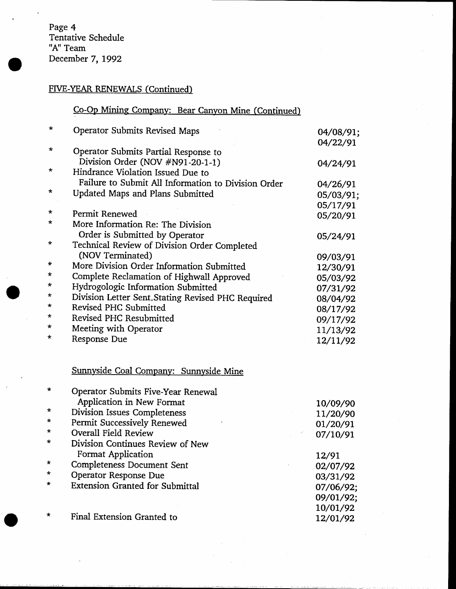### FIVE-YEAR RENEWALS (Continued)

# Co-Op Mining Company: Bear Canyon Mine (Continued)

t2/07/92

| $\star$    | Operator Submits Revised Maps                       | 04/08/91;<br>04/22/91 |
|------------|-----------------------------------------------------|-----------------------|
| *          | Operator Submits Partial Response to                |                       |
|            | Division Order (NOV #N91-20-1-1)                    | 04/24/91              |
| *          | Hindrance Violation Issued Due to                   |                       |
|            | Failure to Submit All Information to Division Order | 04/26/91              |
| $\star$    | Updated Maps and Plans Submitted                    | 05/03/91;             |
|            |                                                     | 05/17/91              |
| $\star$    | Permit Renewed                                      | 05/20/91              |
| $^\star$   | More Information Re: The Division                   |                       |
|            | Order is Submitted by Operator                      | 05/24/91              |
| *          | Technical Review of Division Order Completed        |                       |
|            | (NOV Terminated)                                    | 09/03/91              |
| ∗          | More Division Order Information Submitted           | 12/30/91              |
| $\star$    | Complete Reclamation of Highwall Approved           | 05/03/92              |
| *          | Hydrogologic Information Submitted                  | 07/31/92              |
| $^{\star}$ | Division Letter Sent, Stating Revised PHC Required  | 08/04/92              |
| *          | Revised PHC Submitted                               | 08/17/92              |
| ∗          | Revised PHC Resubmitted                             | 09/17/92              |
| $\star$    | Meeting with Operator                               | 11/13/92              |
| ∗          | Response Due                                        | 12/11/92              |
|            | Sunnyside Coal Company: Sunnyside Mine              |                       |
| *          | Operator Submits Five-Year Renewal                  |                       |
|            | Application in New Format                           | 10/09/90              |
| *          | Division Issues Completeness                        | 11/20/90              |
| *          | Permit Successively Renewed                         | 01/20/91              |
| *          | <b>Overall Field Review</b>                         | 07/10/91              |
| *          | Division Continues Review of New                    |                       |
|            | Format Application                                  | 12/91                 |
| *          | <b>Completeness Document Sent</b>                   | 02/07/92              |
| ÷          | <b>Operator Response Due</b>                        | 03/31/92              |
| ×          | <b>Extension Granted for Submittal</b>              | 07/06/92;             |
|            |                                                     | 09/01/92;             |
|            |                                                     | 10/01/92              |
| ×          | Final Extension Granted to                          | 12/01/92              |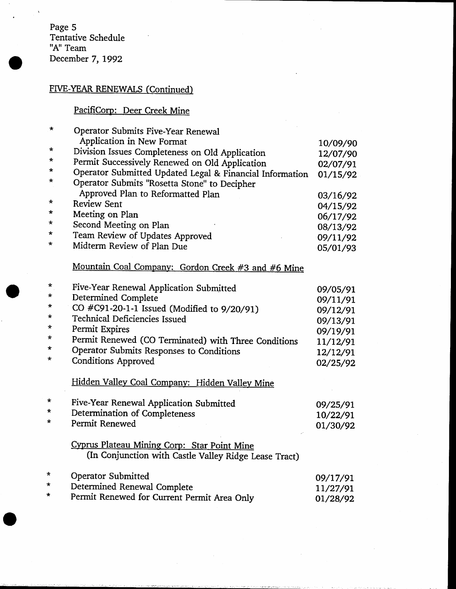# FIVE-YEAR RENEWALS (Continued)

# PacifiCorp: Deer Creek Mine

|         | Operator Submits Five-Year Renewal                                           |          |
|---------|------------------------------------------------------------------------------|----------|
|         | Application in New Format                                                    | 10/09/90 |
| $\star$ | Division Issues Completeness on Old Application                              | 12/07/90 |
| ∗       | Permit Successively Renewed on Old Application                               | 02/07/91 |
| $\star$ | Operator Submitted Updated Legal & Financial Information                     | 01/15/92 |
| *       | Operator Submits "Rosetta Stone" to Decipher                                 |          |
|         | Approved Plan to Reformatted Plan                                            | 03/16/92 |
| $\star$ | <b>Review Sent</b>                                                           | 04/15/92 |
| *       | Meeting on Plan                                                              | 06/17/92 |
| *       | Second Meeting on Plan                                                       | 08/13/92 |
| *       | Team Review of Updates Approved                                              | 09/11/92 |
| $\star$ | Midterm Review of Plan Due                                                   | 05/01/93 |
|         | Mountain Coal Company: Gordon Creek #3 and #6 Mine                           |          |
| $\star$ |                                                                              |          |
| $\star$ | Five-Year Renewal Application Submitted<br>Determined Complete               | 09/05/91 |
| $\star$ |                                                                              | 09/11/91 |
| $\star$ | CO #C91-20-1-1 Issued (Modified to 9/20/91)<br>Technical Deficiencies Issued | 09/12/91 |
| $\star$ |                                                                              | 09/13/91 |
| ∗       | Permit Expires                                                               | 09/19/91 |
| $\star$ | Permit Renewed (CO Terminated) with Three Conditions                         | 11/12/91 |
| $\star$ | Operator Submits Responses to Conditions                                     | 12/12/91 |
|         | <b>Conditions Approved</b>                                                   | 02/25/92 |
|         | Hidden Valley Coal Company: Hidden Valley Mine                               |          |
| $\star$ | Five-Year Renewal Application Submitted                                      | 09/25/91 |
| $\star$ | Determination of Completeness                                                | 10/22/91 |
| $\star$ | Permit Renewed                                                               | 01/30/92 |
|         | Cyprus Plateau Mining Corp: Star Point Mine                                  |          |
|         | (In Conjunction with Castle Valley Ridge Lease Tract)                        |          |
| $\star$ | <b>Operator Submitted</b>                                                    | 09/17/91 |
| $\star$ | Determined Renewal Complete                                                  | 11/27/91 |
| *       | Permit Renewed for Current Permit Area Only                                  | 01/28/92 |
|         |                                                                              |          |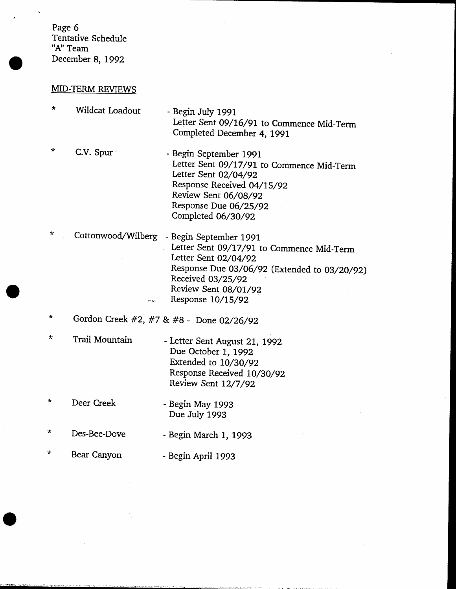Page 6 Tentative Schedule "A" Team December 8, 1992

#### **MID-TERM REVIEWS**

- \* Wildcat Loadout - Begin July 1991 Letter Sent Og/L6/91 to Commence Mid-Term Completed December 4, 199r  $\star$ C.V. Spur' - Begin September 1991
- Letter Sent 09/17/91 to Commence Mid-Term Letter Sent O2/O4/gz Response Received 04/15/92 Review Sent 06/08/92 Response Due OG/ZS/gz Completed 06/30/92
- Cottonwood/Wilberg Begin September 1991 Letter Sent 09/17/91 to Commence Mid-Term Letter Sent 02/04/92 Response Due 03/06/92 (Extended to o3/20/92) Received 03/25/92 Review Sent 08/01/92  $\sim$  Response 10/15/92
- Gordon Creek #2, #7 & #8 Done 02/26/92  $\star$
- $\star$ Trail Mountain - Letter Sent August 21, 1992 Due October 1, 1992 Extended to  $10/30/92$ Response Received 10/30/92 Review Sent 12/7/92
- $\star$ Deer Creek - Begin May 1993 Due July 1993
- $\star$ Des-Bee-Dove - Begin March 1, 1993
- $\star$ Bear Canyon - Begin April 1993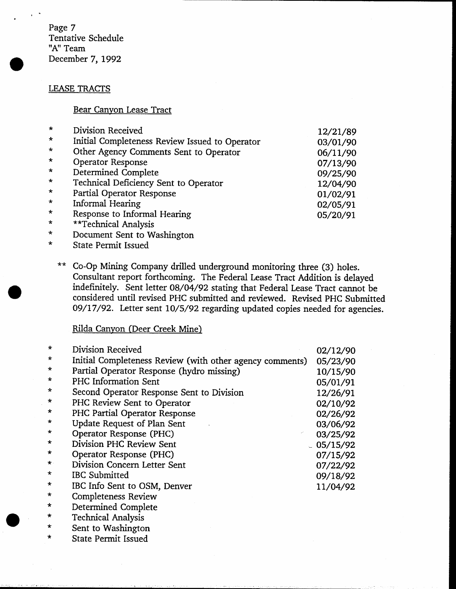Page 7 Tentative Schedule "A" Team December 7, 1992

#### LEASE TRACTS

#### Bear Canyon Lease Tract

| $\star$ | Division Received                              | 12/21/89 |
|---------|------------------------------------------------|----------|
| $\star$ | Initial Completeness Review Issued to Operator | 03/01/90 |
| $\star$ | Other Agency Comments Sent to Operator         | 06/11/90 |
| $\star$ | <b>Operator Response</b>                       | 07/13/90 |
| $\star$ | Determined Complete                            | 09/25/90 |
| $\star$ | Technical Deficiency Sent to Operator          | 12/04/90 |
| $\star$ | Partial Operator Response                      | 01/02/91 |
| $\star$ | Informal Hearing                               | 02/05/91 |
| $\star$ | Response to Informal Hearing                   | 05/20/91 |
| $\star$ | **Technical Analysis                           |          |

- Document Sent to Washington  $\star$
- \* State Permit Issued
	- \*\* Co-Op Mining Company drilled underground monitoring three (3) holes. Consultant report forthcoming. The Federal Lease Tract Addition is delayed indefinitely. Sent letter OS/04/92 stating that Federal Lease Tract cannot be considered until revised PHC submitted and reviewed. Revised PHC Submitted 09/17/92. Letter sent 10/5/92 regarding updated copies needed for agencies.

#### Rilda Canyon (Deer Creek Mine)

| $\star$      | Division Received                                        | 02/12/90    |
|--------------|----------------------------------------------------------|-------------|
| $\star$      | Initial Completeness Review (with other agency comments) | 05/23/90    |
| $\star$      | Partial Operator Response (hydro missing)                | 10/15/90    |
| $\star$      | PHC Information Sent                                     | 05/01/91    |
| $\star$      | Second Operator Response Sent to Division                | 12/26/91    |
| $\star$      | PHC Review Sent to Operator                              | 02/10/92    |
| $\star$      | PHC Partial Operator Response                            | 02/26/92    |
| $\mathbf{r}$ | Update Request of Plan Sent                              | 03/06/92    |
| $\star$      | Operator Response (PHC)                                  | 03/25/92    |
| $\star$      | Division PHC Review Sent                                 | $-05/15/92$ |
| $\star$      | Operator Response (PHC)                                  | 07/15/92    |
| $\star$ .    | Division Concern Letter Sent                             | 07/22/92    |
| $\star$      | <b>IBC</b> Submitted                                     | 09/18/92    |
| $\star$      | IBC Info Sent to OSM, Denver                             | 11/04/92    |
| $\star$      | <b>Completeness Review</b>                               |             |
| $\star$      | Determined Complete                                      |             |
|              | m 1 1 1 1 1                                              |             |

- Technical Analysis
- \* Sent to Washington
- \* State Permit lssued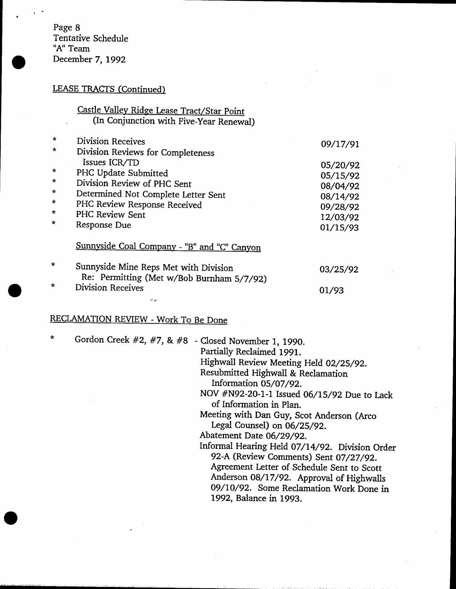Page 8 Tentative Schedule "A" Team December 7, 1992

#### **LEASE TRACTS (Continued)**

# Castle Valley Ridge Lease Tract/Star Point<br>(In Conjunction with Five-Year Renewal)

| $\star$ | Division Receives                                                                  | 09/17/91 |
|---------|------------------------------------------------------------------------------------|----------|
| $\star$ | Division Reviews for Completeness                                                  |          |
|         | Issues ICR/TD                                                                      | 05/20/92 |
| $\star$ | PHC Update Submitted                                                               | 05/15/92 |
| $\star$ | Division Review of PHC Sent                                                        | 08/04/92 |
| $\star$ | Determined Not Complete Letter Sent                                                | 08/14/92 |
| $\star$ | PHC Review Response Received                                                       | 09/28/92 |
| $\star$ | <b>PHC Review Sent</b>                                                             | 12/03/92 |
| $\star$ | Response Due                                                                       | 01/15/93 |
|         | Sunnyside Coal Company - "B" and "C" Canyon                                        |          |
| $\star$ | Sunnyside Mine Reps Met with Division<br>Re: Permitting (Met w/Bob Burnham 5/7/92) | 03/25/92 |
| $\star$ | Division Receives                                                                  | 01/93    |

# RECLAMATION REVIEW - Work To Be Done

دی ما

| $\star$ | Gordon Creek #2, #7, & #8 - Closed November 1, 1990. | Partially Reclaimed 1991.<br>Highwall Review Meeting Held 02/25/92.<br>Resubmitted Highwall & Reclamation<br>Information 05/07/92.<br>NOV #N92-20-1-1 Issued 06/15/92 Due to Lack<br>of Information in Plan.<br>Meeting with Dan Guy, Scot Anderson (Arco<br>Legal Counsel) on 06/25/92.<br>Abatement Date 06/29/92.<br>Informal Hearing Held 07/14/92. Division Order<br>92-A (Review Comments) Sent 07/27/92.<br>Agreement Letter of Schedule Sent to Scott |
|---------|------------------------------------------------------|---------------------------------------------------------------------------------------------------------------------------------------------------------------------------------------------------------------------------------------------------------------------------------------------------------------------------------------------------------------------------------------------------------------------------------------------------------------|
|         |                                                      | Anderson 08/17/92. Approval of Highwalls<br>09/10/92. Some Reclamation Work Done in<br>1992, Balance in 1993.                                                                                                                                                                                                                                                                                                                                                 |
|         |                                                      |                                                                                                                                                                                                                                                                                                                                                                                                                                                               |